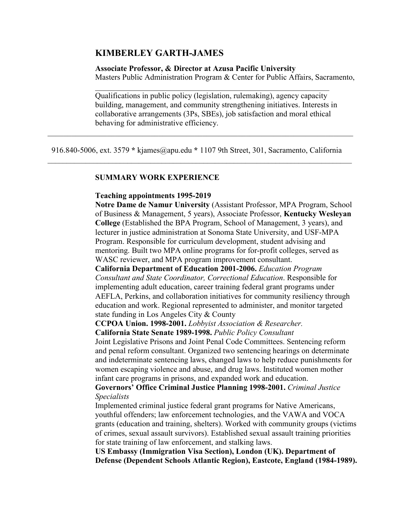#### **KIMBERLEY GARTH-JAMES**

#### **Associate Professor, & Director at Azusa Pacific University**

Masters Public Administration Program & Center for Public Affairs, Sacramento,

Qualifications in public policy (legislation, rulemaking), agency capacity building, management, and community strengthening initiatives. Interests in collaborative arrangements (3Ps, SBEs), job satisfaction and moral ethical behaving for administrative efficiency.

 916.840-5006, ext. 3579 **\*** kjames@apu.edu **\*** 1107 9th Street, 301, Sacramento, California \_\_\_\_\_\_\_\_\_\_\_\_\_\_\_\_\_\_\_\_\_\_\_\_\_\_\_\_\_\_\_\_\_\_\_\_\_\_\_\_\_\_\_\_\_\_\_\_\_\_\_\_\_\_\_\_\_\_\_\_\_\_\_\_\_\_\_\_\_\_\_\_\_\_\_\_\_\_\_\_

#### **SUMMARY WORK EXPERIENCE**

#### **Teaching appointments 1995-2019**

**Notre Dame de Namur University** (Assistant Professor, MPA Program, School of Business & Management, 5 years), Associate Professor, **Kentucky Wesleyan College** (Established the BPA Program, School of Management, 3 years), and lecturer in justice administration at Sonoma State University, and USF-MPA Program. Responsible for curriculum development, student advising and mentoring. Built two MPA online programs for for-profit colleges, served as WASC reviewer, and MPA program improvement consultant.

**California Department of Education 2001-2006.** *Education Program Consultant and State Coordinator, Correctional Education*. Responsible for implementing adult education, career training federal grant programs under AEFLA, Perkins, and collaboration initiatives for community resiliency through education and work. Regional represented to administer, and monitor targeted state funding in Los Angeles City & County

**CCPOA Union. 1998-2001.** *Lobbyist Association & Researcher.*

**California State Senate 1989-1998.** *Public Policy Consultant*

Joint Legislative Prisons and Joint Penal Code Committees. Sentencing reform and penal reform consultant. Organized two sentencing hearings on determinate and indeterminate sentencing laws, changed laws to help reduce punishments for women escaping violence and abuse, and drug laws. Instituted women mother infant care programs in prisons, and expanded work and education.

**Governors' Office Criminal Justice Planning 1998-2001.** *Criminal Justice Specialists*

Implemented criminal justice federal grant programs for Native Americans, youthful offenders; law enforcement technologies, and the VAWA and VOCA grants (education and training, shelters). Worked with community groups (victims of crimes, sexual assault survivors). Established sexual assault training priorities for state training of law enforcement, and stalking laws.

**US Embassy (Immigration Visa Section), London (UK). Department of Defense (Dependent Schools Atlantic Region), Eastcote, England (1984-1989).**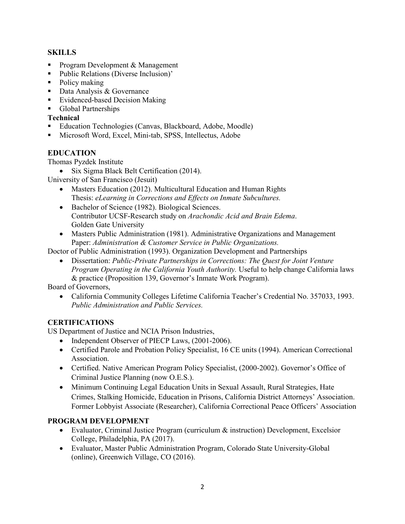# **SKILLS**

- Program Development & Management
- Public Relations (Diverse Inclusion)'
- Policy making
- Data Analysis & Governance
- Evidenced-based Decision Making
- Global Partnerships

#### **Technical**

- Education Technologies (Canvas, Blackboard, Adobe, Moodle)
- Microsoft Word, Excel, Mini-tab, SPSS, Intellectus, Adobe

# **EDUCATION**

Thomas Pyzdek Institute

• Six Sigma Black Belt Certification (2014).

University of San Francisco (Jesuit)

- Masters Education (2012). Multicultural Education and Human Rights Thesis: *eLearning in Corrections and Effects on Inmate Subcultures.*
- Bachelor of Science (1982). Biological Sciences. Contributor UCSF-Research study on *Arachondic Acid and Brain Edema*. Golden Gate University
- Masters Public Administration (1981). Administrative Organizations and Management Paper: *Administration & Customer Service in Public Organizations.*

Doctor of Public Administration (1993). Organization Development and Partnerships

• Dissertation: *Public-Private Partnerships in Corrections: The Quest for Joint Venture Program Operating in the California Youth Authority.* Useful to help change California laws & practice (Proposition 139, Governor's Inmate Work Program).

Board of Governors,

• California Community Colleges Lifetime California Teacher's Credential No. 357033, 1993. *Public Administration and Public Services.* 

## **CERTIFICATIONS**

US Department of Justice and NCIA Prison Industries,

- Independent Observer of PIECP Laws, (2001-2006).
- Certified Parole and Probation Policy Specialist, 16 CE units (1994). American Correctional Association.
- Certified. Native American Program Policy Specialist, (2000-2002). Governor's Office of Criminal Justice Planning (now O.E.S.).
- Minimum Continuing Legal Education Units in Sexual Assault, Rural Strategies, Hate Crimes, Stalking Homicide, Education in Prisons, California District Attorneys' Association. Former Lobbyist Associate (Researcher), California Correctional Peace Officers' Association

## **PROGRAM DEVELOPMENT**

- Evaluator, Criminal Justice Program (curriculum & instruction) Development, Excelsior College, Philadelphia, PA (2017).
- Evaluator, Master Public Administration Program, Colorado State University-Global (online), Greenwich Village, CO (2016).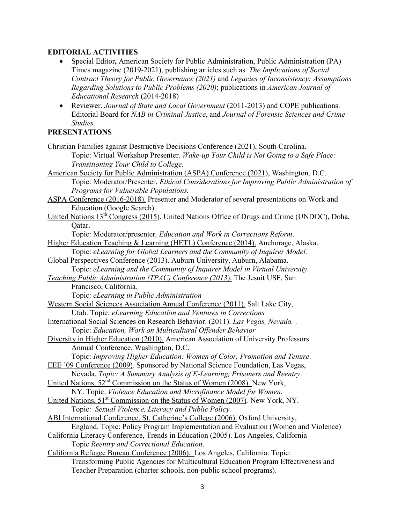## **EDITORIAL ACTIVITIES**

- Special Editor**,** American Society for Public Administration, Public Administration (PA) Times magazine (2019-2021), publishing articles such as *The Implications of Social Contract Theory for Public Governance (2021)* and *Legacies of Inconsistency: Assumptions Regarding Solutions to Public Problems (2020)*; publications in *American Journal of Educational Research* **(**2014-2018)
- Reviewer. *Journal of State and Local Government* (2011-2013) and COPE publications. Editorial Board for *NAB in Criminal Justice*, and *Journal of Forensic Sciences and Crime Studies.*

# **PRESENTATIONS**

| Christian Families against Destructive Decisions Conference (2021), South Carolina.                      |
|----------------------------------------------------------------------------------------------------------|
| Topic: Virtual Workshop Presenter. Wake-up Your Child is Not Going to a Safe Place:                      |
| Transitioning Your Child to College.                                                                     |
| American Society for Public Administration (ASPA) Conference (2021), Washington, D.C.                    |
| Topic: Moderator/Presenter, Ethical Considerations for Improving Public Administration of                |
| Programs for Vulnerable Populations.                                                                     |
| ASPA Conference (2016-2018). Presenter and Moderator of several presentations on Work and                |
| Education (Google Search).                                                                               |
| United Nations 13 <sup>th</sup> Congress (2015). United Nations Office of Drugs and Crime (UNDOC), Doha, |
| Qatar.                                                                                                   |
| Topic: Moderator/presenter, Education and Work in Corrections Reform.                                    |
| Higher Education Teaching & Learning (HETL) Conference (2014). Anchorage, Alaska.                        |
| Topic: eLearning for Global Learners and the Community of Inquirer Model.                                |
| Global Perspectives Conference (2013). Auburn University, Auburn, Alabama.                               |
| Topic: eLearning and the Community of Inquirer Model in Virtual University.                              |
| Teaching Public Administration (TPAC) Conference (2013). The Jesuit USF, San                             |
| Francisco, California.                                                                                   |
| Topic: eLearning in Public Administration                                                                |
| Western Social Sciences Association Annual Conference (2011). Salt Lake City,                            |
| Utah. Topic: eLearning Education and Ventures in Corrections                                             |
| International Social Sciences on Research Behavior. (2011). Las Vegas, Nevada                            |
| Topic: Education, Work on Multicultural Offender Behavior                                                |
| Diversity in Higher Education (2010). American Association of University Professors                      |
| Annual Conference, Washington, D.C.                                                                      |
| Topic: Improving Higher Education: Women of Color, Promotion and Tenure.                                 |
| EEE '09 Conference (2009). Sponsored by National Science Foundation, Las Vegas,                          |
| Nevada. Topic: A Summary Analysis of E-Learning, Prisoners and Reentry.                                  |
| United Nations, 52 <sup>nd</sup> Commission on the Status of Women (2008). New York,                     |
| NY. Topic: Violence Education and Microfinance Model for Women.                                          |
| United Nations, 51 <sup>st</sup> Commission on the Status of Women (2007). New York, NY.                 |
| Topic: Sexual Violence, Literacy and Public Policy.                                                      |
| ABI International Conference, St. Catherine's College (2006). Oxford University,                         |
| England. Topic: Policy Program Implementation and Evaluation (Women and Violence)                        |
| California Literacy Conference, Trends in Education (2005). Los Angeles, California                      |
| Topic Reentry and Correctional Education.                                                                |
| California Refugee Bureau Conference (2006). Los Angeles, California. Topic:                             |

Transforming Public Agencies for Multicultural Education Program Effectiveness and Teacher Preparation (charter schools, non-public school programs).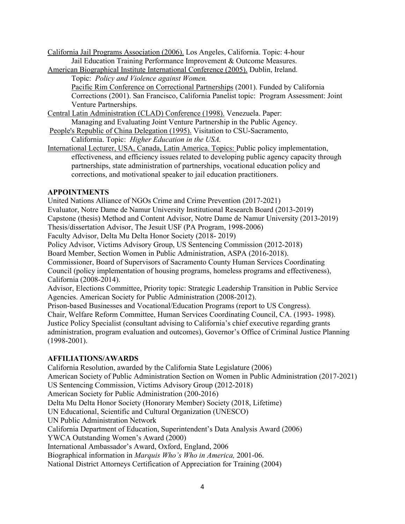California Jail Programs Association (2006). Los Angeles, California. Topic: 4-hour Jail Education Training Performance Improvement & Outcome Measures.

American Biographical Institute International Conference (2005). Dublin, Ireland.

Topic: *Policy and Violence against Women.*

Pacific Rim Conference on Correctional Partnerships (2001). Funded by California Corrections (2001). San Francisco, California Panelist topic: Program Assessment: Joint Venture Partnerships.

- Central Latin Administration (CLAD) Conference (1998). Venezuela. Paper: Managing and Evaluating Joint Venture Partnership in the Public Agency.
- People's Republic of China Delegation (1995). Visitation to CSU-Sacramento,

California. Topic: *Higher Education in the USA.*

International Lecturer, USA, Canada, Latin America. Topics: Public policy implementation, effectiveness, and efficiency issues related to developing public agency capacity through partnerships, state administration of partnerships, vocational education policy and corrections, and motivational speaker to jail education practitioners.

## **APPOINTMENTS**

United Nations Alliance of NGOs Crime and Crime Prevention (2017-2021) Evaluator, Notre Dame de Namur University Institutional Research Board (2013-2019) Capstone (thesis) Method and Content Advisor, Notre Dame de Namur University (2013-2019) Thesis/dissertation Advisor, The Jesuit USF (PA Program, 1998-2006) Faculty Advisor, Delta Mu Delta Honor Society (2018- 2019) Policy Advisor, Victims Advisory Group, US Sentencing Commission (2012-2018) Board Member, Section Women in Public Administration, ASPA (2016-2018). Commissioner, Board of Supervisors of Sacramento County Human Services Coordinating Council (policy implementation of housing programs, homeless programs and effectiveness), California (2008-2014). Advisor, Elections Committee, Priority topic: Strategic Leadership Transition in Public Service Agencies. American Society for Public Administration (2008-2012). Prison-based Businesses and Vocational/Education Programs (report to US Congress). Chair, Welfare Reform Committee, Human Services Coordinating Council, CA. (1993- 1998). Justice Policy Specialist (consultant advising to California's chief executive regarding grants administration, program evaluation and outcomes), Governor's Office of Criminal Justice Planning (1998-2001).

## **AFFILIATIONS/AWARDS**

California Resolution, awarded by the California State Legislature (2006) American Society of Public Administration Section on Women in Public Administration (2017-2021) US Sentencing Commission, Victims Advisory Group (2012-2018) American Society for Public Administration (200-2016) Delta Mu Delta Honor Society (Honorary Member) Society (2018, Lifetime) UN Educational, Scientific and Cultural Organization (UNESCO) UN Public Administration Network California Department of Education, Superintendent's Data Analysis Award (2006) YWCA Outstanding Women's Award (2000) International Ambassador's Award, Oxford, England, 2006 Biographical information in *Marquis Who's Who in America,* 2001-06. National District Attorneys Certification of Appreciation for Training (2004)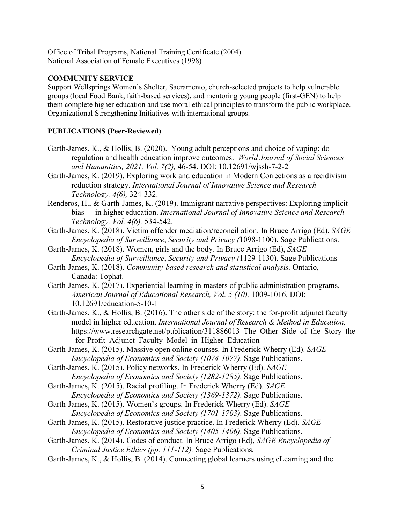Office of Tribal Programs, National Training Certificate (2004) National Association of Female Executives (1998)

#### **COMMUNITY SERVICE**

Support Wellsprings Women's Shelter, Sacramento, church-selected projects to help vulnerable groups (local Food Bank, faith-based services), and mentoring young people (first-GEN) to help them complete higher education and use moral ethical principles to transform the public workplace. Organizational Strengthening Initiatives with international groups.

#### **PUBLICATIONS (Peer-Reviewed)**

- Garth-James, K., & Hollis, B. (2020). Young adult perceptions and choice of vaping: do regulation and health education improve outcomes. *World Journal of Social Sciences and Humanities, 2021, Vol. 7(2),* 46-54. DOI: 10.12691/wjssh-7-2-2
- Garth-James, K. (2019). Exploring work and education in Modern Corrections as a recidivism reduction strategy. *International Journal of Innovative Science and Research Technology. 4(6),* 324-332.
- Renderos, H., & Garth-James, K. (2019). Immigrant narrative perspectives: Exploring implicit bias in higher education. *International Journal of Innovative Science and Research Technology, Vol. 4(6),* 534-542.
- Garth-James, K. (2018). Victim offender mediation/reconciliation. In Bruce Arrigo (Ed), *SAGE Encyclopedia of Surveillance*, *Security and Privacy (*1098-1100). Sage Publications.
- Garth-James, K. (2018). Women, girls and the body*.* In Bruce Arrigo (Ed), *SAGE Encyclopedia of Surveillance*, *Security and Privacy (*1129-1130). Sage Publications
- Garth-James, K. (2018). *Community-based research and statistical analysis.* Ontario, Canada: Tophat.
- Garth-James, K. (2017). Experiential learning in masters of public administration programs. *American Journal of Educational Research, Vol. 5 (10),* 1009-1016. DOI: 10.12691/education-5-10-1
- Garth-James, K., & Hollis, B. (2016). The other side of the story: the for-profit adjunct faculty model in higher education. *International Journal of Research & Method in Education,* https://www.researchgate.net/publication/311886013 The Other Side of the Story the for-Profit Adjunct Faculty Model in Higher Education
- Garth-James, K. (2015). Massive open online courses. In Frederick Wherry (Ed). *SAGE Encyclopedia of Economics and Society (1074-1077)*. Sage Publications.
- Garth-James, K. (2015). Policy networks. In Frederick Wherry (Ed). *SAGE Encyclopedia of Economics and Society (1282-1285)*. Sage Publications.
- Garth-James, K. (2015). Racial profiling. In Frederick Wherry (Ed). *SAGE Encyclopedia of Economics and Society (1369-1372)*. Sage Publications.
- Garth-James, K. (2015). Women's groups. In Frederick Wherry (Ed). *SAGE Encyclopedia of Economics and Society (1701-1703)*. Sage Publications.
- Garth-James, K. (2015). Restorative justice practice. In Frederick Wherry (Ed). *SAGE Encyclopedia of Economics and Society (1405-1406)*. Sage Publications.
- Garth-James, K. (2014). Codes of conduct. In Bruce Arrigo (Ed), *SAGE Encyclopedia of Criminal Justice Ethics (pp. 111-112).* Sage Publications*.*
- Garth-James, K., & Hollis, B. (2014). Connecting global learners using eLearning and the